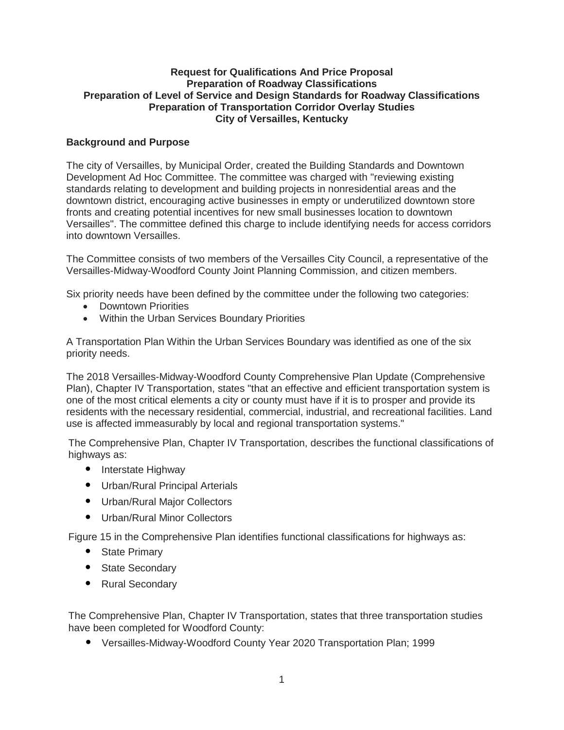### **Request for Qualifications And Price Proposal Preparation of Roadway Classifications Preparation of Level of Service and Design Standards for Roadway Classifications Preparation of Transportation Corridor Overlay Studies City of Versailles, Kentucky**

# **Background and Purpose**

The city of Versailles, by Municipal Order, created the Building Standards and Downtown Development Ad Hoc Committee. The committee was charged with "reviewing existing standards relating to development and building projects in nonresidential areas and the downtown district, encouraging active businesses in empty or underutilized downtown store fronts and creating potential incentives for new small businesses location to downtown Versailles". The committee defined this charge to include identifying needs for access corridors into downtown Versailles.

The Committee consists of two members of the Versailles City Council, a representative of the Versailles-Midway-Woodford County Joint Planning Commission, and citizen members.

Six priority needs have been defined by the committee under the following two categories:

- Downtown Priorities
- Within the Urban Services Boundary Priorities

A Transportation Plan Within the Urban Services Boundary was identified as one of the six priority needs.

The 2018 Versailles-Midway-Woodford County Comprehensive Plan Update (Comprehensive Plan), Chapter IV Transportation, states "that an effective and efficient transportation system is one of the most critical elements a city or county must have if it is to prosper and provide its residents with the necessary residential, commercial, industrial, and recreational facilities. Land use is affected immeasurably by local and regional transportation systems."

The Comprehensive Plan, Chapter IV Transportation, describes the functional classifications of highways as:

- Interstate Highway
- Urban/Rural Principal Arterials
- Urban/Rural Major Collectors
- Urban/Rural Minor Collectors

Figure 15 in the Comprehensive Plan identifies functional classifications for highways as:

- State Primary
- State Secondary
- Rural Secondary

The Comprehensive Plan, Chapter IV Transportation, states that three transportation studies have been completed for Woodford County:

• Versailles-Midway-Woodford County Year 2020 Transportation Plan; 1999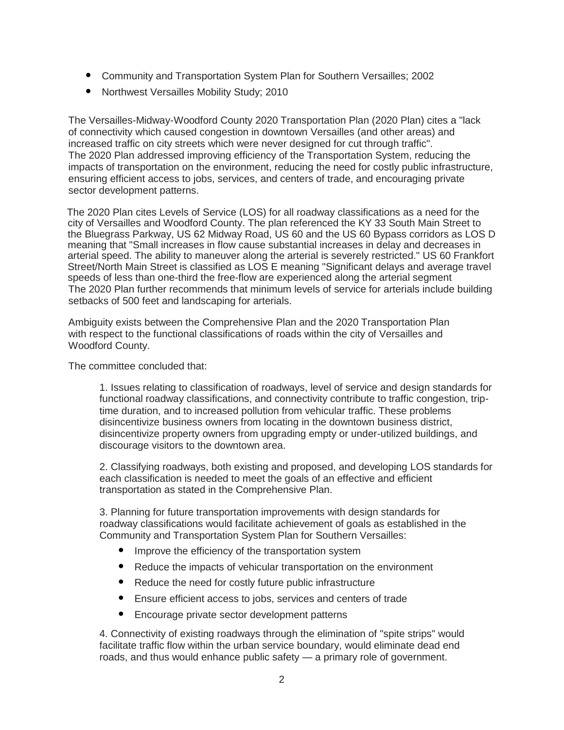- Community and Transportation System Plan for Southern Versailles; 2002
- Northwest Versailles Mobility Study; 2010

The Versailles-Midway-Woodford County 2020 Transportation Plan (2020 Plan) cites a "lack of connectivity which caused congestion in downtown Versailles (and other areas) and increased traffic on city streets which were never designed for cut through traffic". The 2020 Plan addressed improving efficiency of the Transportation System, reducing the impacts of transportation on the environment, reducing the need for costly public infrastructure, ensuring efficient access to jobs, services, and centers of trade, and encouraging private sector development patterns.

The 2020 Plan cites Levels of Service (LOS) for all roadway classifications as a need for the city of Versailles and Woodford County. The plan referenced the KY 33 South Main Street to the Bluegrass Parkway, US 62 Midway Road, US 60 and the US 60 Bypass corridors as LOS D meaning that "Small increases in flow cause substantial increases in delay and decreases in arterial speed. The ability to maneuver along the arterial is severely restricted." US 60 Frankfort Street/North Main Street is classified as LOS E meaning "Significant delays and average travel speeds of less than one-third the free-flow are experienced along the arterial segment The 2020 Plan further recommends that minimum levels of service for arterials include building setbacks of 500 feet and landscaping for arterials.

Ambiguity exists between the Comprehensive Plan and the 2020 Transportation Plan with respect to the functional classifications of roads within the city of Versailles and Woodford County.

The committee concluded that:

1. Issues relating to classification of roadways, level of service and design standards for functional roadway classifications, and connectivity contribute to traffic congestion, triptime duration, and to increased pollution from vehicular traffic. These problems disincentivize business owners from locating in the downtown business district, disincentivize property owners from upgrading empty or under-utilized buildings, and discourage visitors to the downtown area.

2. Classifying roadways, both existing and proposed, and developing LOS standards for each classification is needed to meet the goals of an effective and efficient transportation as stated in the Comprehensive Plan.

3. Planning for future transportation improvements with design standards for roadway classifications would facilitate achievement of goals as established in the Community and Transportation System Plan for Southern Versailles:

- Improve the efficiency of the transportation system
- Reduce the impacts of vehicular transportation on the environment
- Reduce the need for costly future public infrastructure
- Ensure efficient access to jobs, services and centers of trade
- Encourage private sector development patterns

4. Connectivity of existing roadways through the elimination of "spite strips" would facilitate traffic flow within the urban service boundary, would eliminate dead end roads, and thus would enhance public safety — a primary role of government.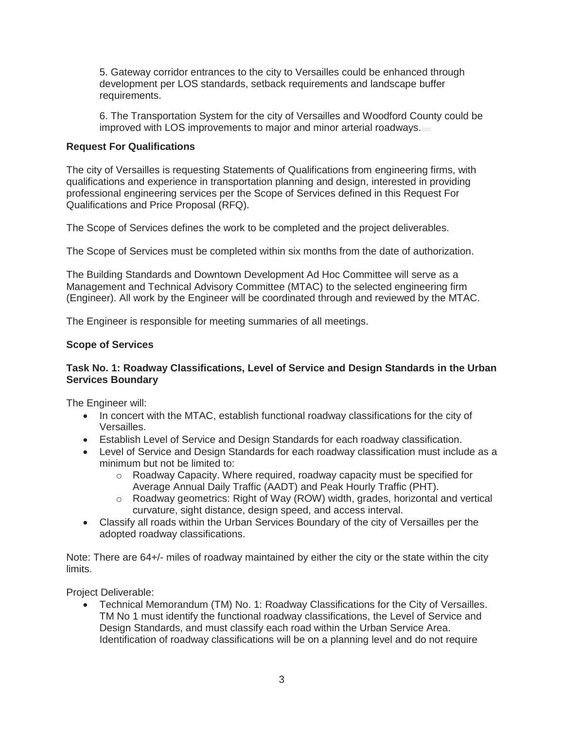5. Gateway corridor entrances to the city to Versailles could be enhanced through development per LOS standards, setback requirements and landscape buffer requirements.

6. The Transportation System for the city of Versailles and Woodford County could be improved with LOS improvements to major and minor arterial roadways.

# **Request For Qualifications**

The city of Versailles is requesting Statements of Qualifications from engineering firms, with qualifications and experience in transportation planning and design, interested in providing professional engineering services per the Scope of Services defined in this Request For Qualifications and Price Proposal (RFQ).

The Scope of Services defines the work to be completed and the project deliverables.

The Scope of Services must be completed within six months from the date of authorization.

The Building Standards and Downtown Development Ad Hoc Committee will serve as a Management and Technical Advisory Committee (MTAC) to the selected engineering firm (Engineer). All work by the Engineer will be coordinated through and reviewed by the MTAC.

The Engineer is responsible for meeting summaries of all meetings.

# **Scope of Services**

# **Task No. 1: Roadway Classifications, Level of Service and Design Standards in the Urban Services Boundary**

The Engineer will:

- In concert with the MTAC, establish functional roadway classifications for the city of Versailles.
- Establish Level of Service and Design Standards for each roadway classification.
- Level of Service and Design Standards for each roadway classification must include as a minimum but not be limited to:
	- o Roadway Capacity. Where required, roadway capacity must be specified for Average Annual Daily Traffic (AADT) and Peak Hourly Traffic (PHT).
	- o Roadway geometrics: Right of Way (ROW) width, grades, horizontal and vertical curvature, sight distance, design speed, and access interval.
- Classify all roads within the Urban Services Boundary of the city of Versailles per the adopted roadway classifications.

Note: There are 64+/- miles of roadway maintained by either the city or the state within the city limits.

Project Deliverable:

 Technical Memorandum (TM) No. 1: Roadway Classifications for the City of Versailles. TM No 1 must identify the functional roadway classifications, the Level of Service and Design Standards, and must classify each road within the Urban Service Area. Identification of roadway classifications will be on a planning level and do not require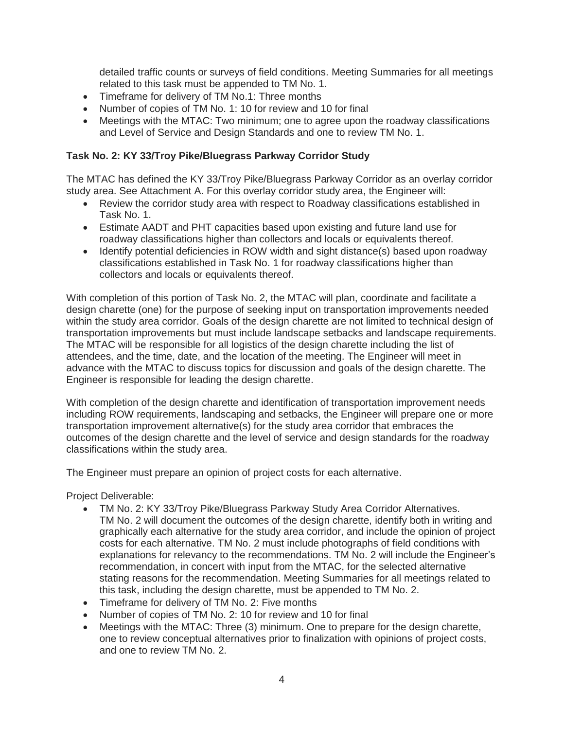detailed traffic counts or surveys of field conditions. Meeting Summaries for all meetings related to this task must be appended to TM No. 1.

- Timeframe for delivery of TM No.1: Three months
- Number of copies of TM No. 1: 10 for review and 10 for final
- Meetings with the MTAC: Two minimum; one to agree upon the roadway classifications and Level of Service and Design Standards and one to review TM No. 1.

## **Task No. 2: KY 33/Troy Pike/Bluegrass Parkway Corridor Study**

The MTAC has defined the KY 33/Troy Pike/Bluegrass Parkway Corridor as an overlay corridor study area. See Attachment A. For this overlay corridor study area, the Engineer will:

- Review the corridor study area with respect to Roadway classifications established in Task No. 1.
- Estimate AADT and PHT capacities based upon existing and future land use for roadway classifications higher than collectors and locals or equivalents thereof.
- Identify potential deficiencies in ROW width and sight distance(s) based upon roadway classifications established in Task No. 1 for roadway classifications higher than collectors and locals or equivalents thereof.

With completion of this portion of Task No. 2, the MTAC will plan, coordinate and facilitate a design charette (one) for the purpose of seeking input on transportation improvements needed within the study area corridor. Goals of the design charette are not limited to technical design of transportation improvements but must include landscape setbacks and landscape requirements. The MTAC will be responsible for all logistics of the design charette including the list of attendees, and the time, date, and the location of the meeting. The Engineer will meet in advance with the MTAC to discuss topics for discussion and goals of the design charette. The Engineer is responsible for leading the design charette.

With completion of the design charette and identification of transportation improvement needs including ROW requirements, landscaping and setbacks, the Engineer will prepare one or more transportation improvement alternative(s) for the study area corridor that embraces the outcomes of the design charette and the level of service and design standards for the roadway classifications within the study area.

The Engineer must prepare an opinion of project costs for each alternative.

Project Deliverable:

- TM No. 2: KY 33/Troy Pike/Bluegrass Parkway Study Area Corridor Alternatives. TM No. 2 will document the outcomes of the design charette, identify both in writing and graphically each alternative for the study area corridor, and include the opinion of project costs for each alternative. TM No. 2 must include photographs of field conditions with explanations for relevancy to the recommendations. TM No. 2 will include the Engineer's recommendation, in concert with input from the MTAC, for the selected alternative stating reasons for the recommendation. Meeting Summaries for all meetings related to this task, including the design charette, must be appended to TM No. 2.
- Timeframe for delivery of TM No. 2: Five months
- Number of copies of TM No. 2: 10 for review and 10 for final
- Meetings with the MTAC: Three (3) minimum. One to prepare for the design charette, one to review conceptual alternatives prior to finalization with opinions of project costs, and one to review TM No. 2.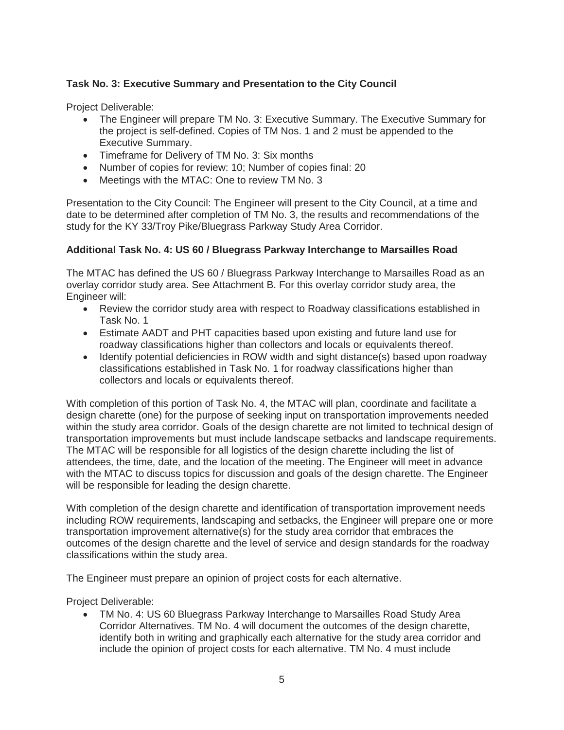# **Task No. 3: Executive Summary and Presentation to the City Council**

Project Deliverable:

- The Engineer will prepare TM No. 3: Executive Summary. The Executive Summary for the project is self-defined. Copies of TM Nos. 1 and 2 must be appended to the Executive Summary.
- Timeframe for Delivery of TM No. 3: Six months
- Number of copies for review: 10; Number of copies final: 20
- Meetings with the MTAC: One to review TM No. 3

Presentation to the City Council: The Engineer will present to the City Council, at a time and date to be determined after completion of TM No. 3, the results and recommendations of the study for the KY 33/Troy Pike/Bluegrass Parkway Study Area Corridor.

### **Additional Task No. 4: US 60 / Bluegrass Parkway Interchange to Marsailles Road**

The MTAC has defined the US 60 / Bluegrass Parkway Interchange to Marsailles Road as an overlay corridor study area. See Attachment B. For this overlay corridor study area, the Engineer will:

- Review the corridor study area with respect to Roadway classifications established in Task No. 1
- Estimate AADT and PHT capacities based upon existing and future land use for roadway classifications higher than collectors and locals or equivalents thereof.
- Identify potential deficiencies in ROW width and sight distance(s) based upon roadway classifications established in Task No. 1 for roadway classifications higher than collectors and locals or equivalents thereof.

With completion of this portion of Task No. 4, the MTAC will plan, coordinate and facilitate a design charette (one) for the purpose of seeking input on transportation improvements needed within the study area corridor. Goals of the design charette are not limited to technical design of transportation improvements but must include landscape setbacks and landscape requirements. The MTAC will be responsible for all logistics of the design charette including the list of attendees, the time, date, and the location of the meeting. The Engineer will meet in advance with the MTAC to discuss topics for discussion and goals of the design charette. The Engineer will be responsible for leading the design charette.

With completion of the design charette and identification of transportation improvement needs including ROW requirements, landscaping and setbacks, the Engineer will prepare one or more transportation improvement alternative(s) for the study area corridor that embraces the outcomes of the design charette and the level of service and design standards for the roadway classifications within the study area.

The Engineer must prepare an opinion of project costs for each alternative.

Project Deliverable:

 TM No. 4: US 60 Bluegrass Parkway Interchange to Marsailles Road Study Area Corridor Alternatives. TM No. 4 will document the outcomes of the design charette, identify both in writing and graphically each alternative for the study area corridor and include the opinion of project costs for each alternative. TM No. 4 must include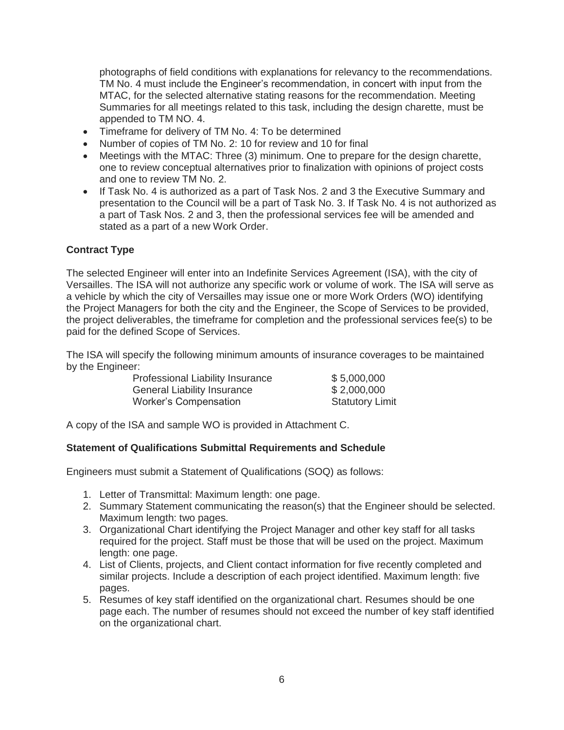photographs of field conditions with explanations for relevancy to the recommendations. TM No. 4 must include the Engineer's recommendation, in concert with input from the MTAC, for the selected alternative stating reasons for the recommendation. Meeting Summaries for all meetings related to this task, including the design charette, must be appended to TM NO. 4.

- Timeframe for delivery of TM No. 4: To be determined
- Number of copies of TM No. 2: 10 for review and 10 for final
- Meetings with the MTAC: Three (3) minimum. One to prepare for the design charette, one to review conceptual alternatives prior to finalization with opinions of project costs and one to review TM No. 2.
- If Task No. 4 is authorized as a part of Task Nos. 2 and 3 the Executive Summary and presentation to the Council will be a part of Task No. 3. If Task No. 4 is not authorized as a part of Task Nos. 2 and 3, then the professional services fee will be amended and stated as a part of a new Work Order.

### **Contract Type**

The selected Engineer will enter into an Indefinite Services Agreement (ISA), with the city of Versailles. The ISA will not authorize any specific work or volume of work. The ISA will serve as a vehicle by which the city of Versailles may issue one or more Work Orders (WO) identifying the Project Managers for both the city and the Engineer, the Scope of Services to be provided, the project deliverables, the timeframe for completion and the professional services fee(s) to be paid for the defined Scope of Services.

The ISA will specify the following minimum amounts of insurance coverages to be maintained by the Engineer:

| Professional Liability Insurance   | \$5,000,000            |
|------------------------------------|------------------------|
| <b>General Liability Insurance</b> | \$2,000,000            |
| <b>Worker's Compensation</b>       | <b>Statutory Limit</b> |

A copy of the ISA and sample WO is provided in Attachment C.

### **Statement of Qualifications Submittal Requirements and Schedule**

Engineers must submit a Statement of Qualifications (SOQ) as follows:

- 1. Letter of Transmittal: Maximum length: one page.
- 2. Summary Statement communicating the reason(s) that the Engineer should be selected. Maximum length: two pages.
- 3. Organizational Chart identifying the Project Manager and other key staff for all tasks required for the project. Staff must be those that will be used on the project. Maximum length: one page.
- 4. List of Clients, projects, and Client contact information for five recently completed and similar projects. Include a description of each project identified. Maximum length: five pages.
- 5. Resumes of key staff identified on the organizational chart. Resumes should be one page each. The number of resumes should not exceed the number of key staff identified on the organizational chart.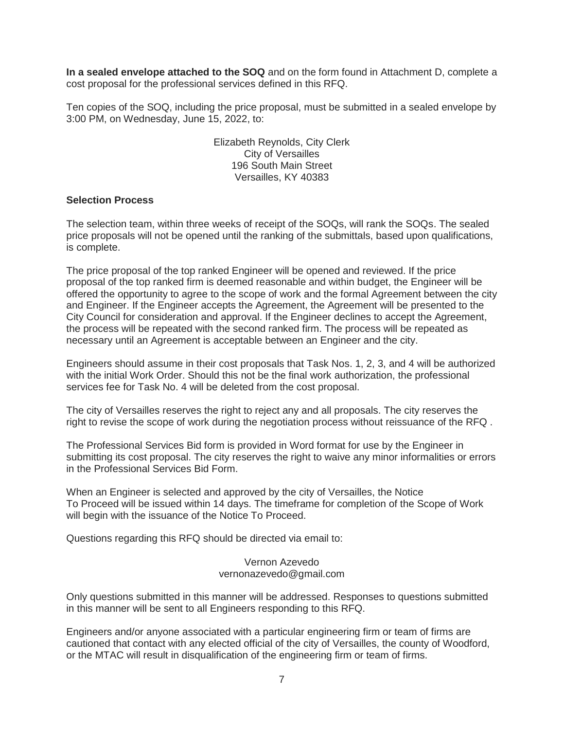**In a sealed envelope attached to the SOQ** and on the form found in Attachment D, complete a cost proposal for the professional services defined in this RFQ.

Ten copies of the SOQ, including the price proposal, must be submitted in a sealed envelope by 3:00 PM, on Wednesday, June 15, 2022, to:

> Elizabeth Reynolds, City Clerk City of Versailles 196 South Main Street Versailles, KY 40383

### **Selection Process**

The selection team, within three weeks of receipt of the SOQs, will rank the SOQs. The sealed price proposals will not be opened until the ranking of the submittals, based upon qualifications, is complete.

The price proposal of the top ranked Engineer will be opened and reviewed. If the price proposal of the top ranked firm is deemed reasonable and within budget, the Engineer will be offered the opportunity to agree to the scope of work and the formal Agreement between the city and Engineer. If the Engineer accepts the Agreement, the Agreement will be presented to the City Council for consideration and approval. If the Engineer declines to accept the Agreement, the process will be repeated with the second ranked firm. The process will be repeated as necessary until an Agreement is acceptable between an Engineer and the city.

Engineers should assume in their cost proposals that Task Nos. 1, 2, 3, and 4 will be authorized with the initial Work Order. Should this not be the final work authorization, the professional services fee for Task No. 4 will be deleted from the cost proposal.

The city of Versailles reserves the right to reject any and all proposals. The city reserves the right to revise the scope of work during the negotiation process without reissuance of the RFQ .

The Professional Services Bid form is provided in Word format for use by the Engineer in submitting its cost proposal. The city reserves the right to waive any minor informalities or errors in the Professional Services Bid Form.

When an Engineer is selected and approved by the city of Versailles, the Notice To Proceed will be issued within 14 days. The timeframe for completion of the Scope of Work will begin with the issuance of the Notice To Proceed.

Questions regarding this RFQ should be directed via email to:

Vernon Azevedo vernonazevedo@gmail.com

Only questions submitted in this manner will be addressed. Responses to questions submitted in this manner will be sent to all Engineers responding to this RFQ.

Engineers and/or anyone associated with a particular engineering firm or team of firms are cautioned that contact with any elected official of the city of Versailles, the county of Woodford, or the MTAC will result in disqualification of the engineering firm or team of firms.